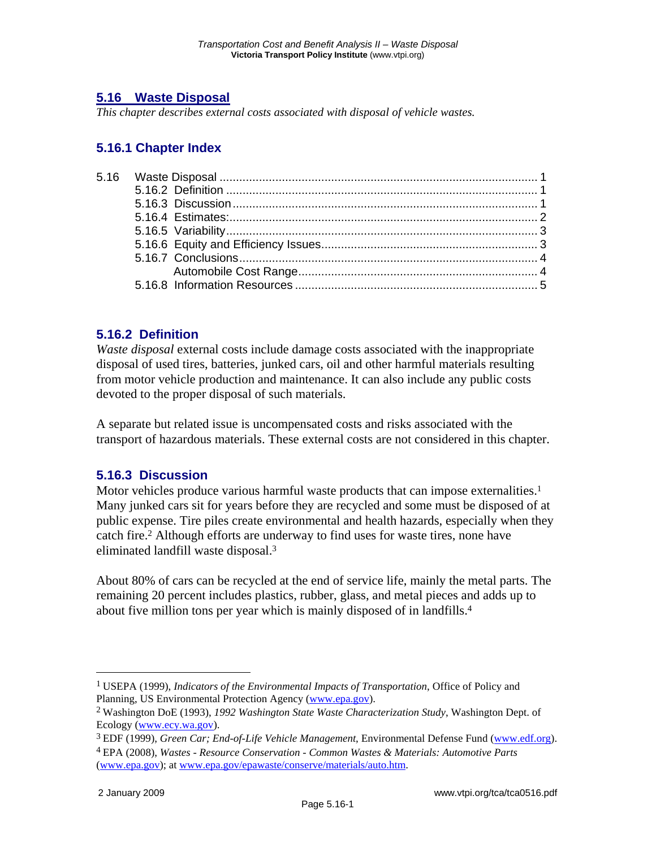# **5.16 Waste Disposal**

*This chapter describes external costs associated with disposal of vehicle wastes.* 

## **5.16.1 Chapter Index**

## **5.16.2 Definition**

*Waste disposal* external costs include damage costs associated with the inappropriate disposal of used tires, batteries, junked cars, oil and other harmful materials resulting from motor vehicle production and maintenance. It can also include any public costs devoted to the proper disposal of such materials.

A separate but related issue is uncompensated costs and risks associated with the transport of hazardous materials. These external costs are not considered in this chapter.

#### **5.16.3 Discussion**

Motor vehicles produce various harmful waste products that can impose externalities.<sup>1</sup> Many junked cars sit for years before they are recycled and some must be disposed of at public expense. Tire piles create environmental and health hazards, especially when they catch fire.2 Although efforts are underway to find uses for waste tires, none have eliminated landfill waste disposal.3

About 80% of cars can be recycled at the end of service life, mainly the metal parts. The remaining 20 percent includes plastics, rubber, glass, and metal pieces and adds up to about five million tons per year which is mainly disposed of in landfills.4

 $\overline{a}$ 

<sup>1</sup> USEPA (1999), *Indicators of the Environmental Impacts of Transportation*, Office of Policy and Planning, US Environmental Protection Agency (www.epa.gov).

<sup>2</sup> Washington DoE (1993), *1992 Washington State Waste Characterization Study*, Washington Dept. of Ecology (www.ecy.wa.gov).

<sup>3</sup> EDF (1999), *Green Car; End-of-Life Vehicle Management*, Environmental Defense Fund (www.edf.org). 4 EPA (2008), *Wastes - Resource Conservation - Common Wastes & Materials: Automotive Parts*

<sup>(</sup>www.epa.gov); at www.epa.gov/epawaste/conserve/materials/auto.htm.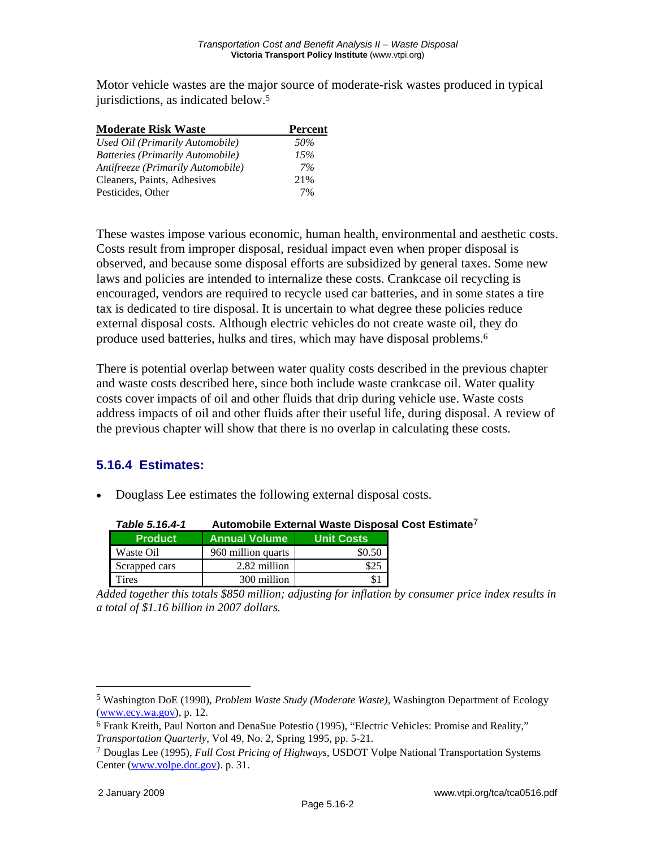Motor vehicle wastes are the major source of moderate-risk wastes produced in typical jurisdictions, as indicated below.5

| <b>Moderate Risk Waste</b>        | <b>Percent</b> |  |
|-----------------------------------|----------------|--|
| Used Oil (Primarily Automobile)   | 50%            |  |
| Batteries (Primarily Automobile)  | 15%            |  |
| Antifreeze (Primarily Automobile) | 7%             |  |
| Cleaners, Paints, Adhesives       | 21%            |  |
| Pesticides, Other                 | 7%             |  |

These wastes impose various economic, human health, environmental and aesthetic costs. Costs result from improper disposal, residual impact even when proper disposal is observed, and because some disposal efforts are subsidized by general taxes. Some new laws and policies are intended to internalize these costs. Crankcase oil recycling is encouraged, vendors are required to recycle used car batteries, and in some states a tire tax is dedicated to tire disposal. It is uncertain to what degree these policies reduce external disposal costs. Although electric vehicles do not create waste oil, they do produce used batteries, hulks and tires, which may have disposal problems.6

There is potential overlap between water quality costs described in the previous chapter and waste costs described here, since both include waste crankcase oil. Water quality costs cover impacts of oil and other fluids that drip during vehicle use. Waste costs address impacts of oil and other fluids after their useful life, during disposal. A review of the previous chapter will show that there is no overlap in calculating these costs.

# **5.16.4 Estimates:**

• Douglass Lee estimates the following external disposal costs.

| Table 5.16.4-1 | Automobile External waste Disposal Co |                   |  |
|----------------|---------------------------------------|-------------------|--|
| <b>Product</b> | <b>Annual Volume</b>                  | <b>Unit Costs</b> |  |
| Waste Oil      | 960 million quarts                    | \$0.50            |  |
| Scrapped cars  | 2.82 million                          | \$25              |  |
| Tires          | 300 million                           |                   |  |

*Table 5.16.4-1* **Automobile External Waste Disposal Cost Estimate**7

*Added together this totals \$850 million; adjusting for inflation by consumer price index results in a total of \$1.16 billion in 2007 dollars.* 

 $\overline{a}$ 

<sup>5</sup> Washington DoE (1990), *Problem Waste Study (Moderate Waste)*, Washington Department of Ecology (www.ecy.wa.gov), p. 12.

<sup>6</sup> Frank Kreith, Paul Norton and DenaSue Potestio (1995), "Electric Vehicles: Promise and Reality," *Transportation Quarterly*, Vol 49, No. 2, Spring 1995, pp. 5-21.

<sup>7</sup> Douglas Lee (1995), *Full Cost Pricing of Highways*, USDOT Volpe National Transportation Systems Center (www.volpe.dot.gov). p. 31.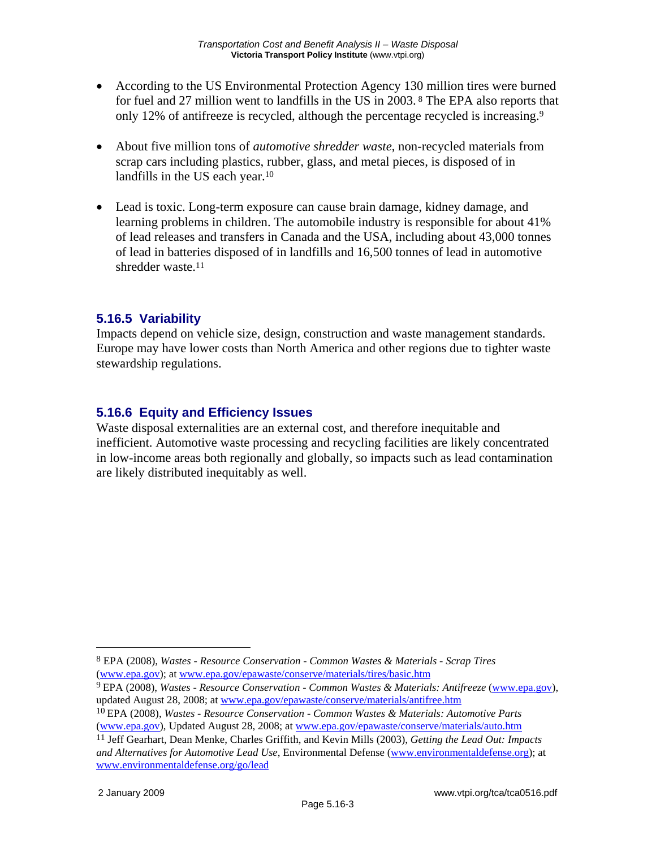- According to the US Environmental Protection Agency 130 million tires were burned for fuel and 27 million went to landfills in the US in 2003. 8 The EPA also reports that only 12% of antifreeze is recycled, although the percentage recycled is increasing.9
- About five million tons of *automotive shredder waste*, non-recycled materials from scrap cars including plastics, rubber, glass, and metal pieces, is disposed of in landfills in the US each year.<sup>10</sup>
- Lead is toxic. Long-term exposure can cause brain damage, kidney damage, and learning problems in children. The automobile industry is responsible for about 41% of lead releases and transfers in Canada and the USA, including about 43,000 tonnes of lead in batteries disposed of in landfills and 16,500 tonnes of lead in automotive shredder waste.11

## **5.16.5 Variability**

Impacts depend on vehicle size, design, construction and waste management standards. Europe may have lower costs than North America and other regions due to tighter waste stewardship regulations.

## **5.16.6 Equity and Efficiency Issues**

Waste disposal externalities are an external cost, and therefore inequitable and inefficient. Automotive waste processing and recycling facilities are likely concentrated in low-income areas both regionally and globally, so impacts such as lead contamination are likely distributed inequitably as well.

9 EPA (2008), *Wastes - Resource Conservation - Common Wastes & Materials: Antifreeze* (www.epa.gov), updated August 28, 2008; at www.epa.gov/epawaste/conserve/materials/antifree.htm

 $\overline{a}$ 

<sup>8</sup> EPA (2008), *Wastes - Resource Conservation - Common Wastes & Materials - Scrap Tires* (www.epa.gov); at www.epa.gov/epawaste/conserve/materials/tires/basic.htm

<sup>10</sup> EPA (2008), *Wastes - Resource Conservation - Common Wastes & Materials: Automotive Parts* (www.epa.gov), Updated August 28, 2008; at www.epa.gov/epawaste/conserve/materials/auto.htm

<sup>11</sup> Jeff Gearhart, Dean Menke, Charles Griffith, and Kevin Mills (2003), *Getting the Lead Out: Impacts and Alternatives for Automotive Lead Use*, Environmental Defense (www.environmentaldefense.org); at www.environmentaldefense.org/go/lead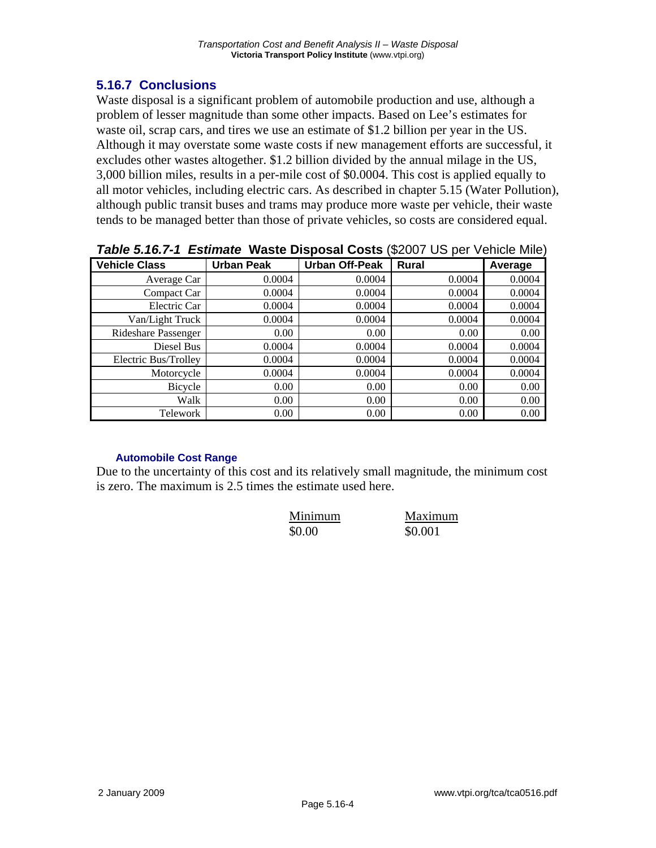#### **5.16.7 Conclusions**

Waste disposal is a significant problem of automobile production and use, although a problem of lesser magnitude than some other impacts. Based on Lee's estimates for waste oil, scrap cars, and tires we use an estimate of \$1.2 billion per year in the US. Although it may overstate some waste costs if new management efforts are successful, it excludes other wastes altogether. \$1.2 billion divided by the annual milage in the US, 3,000 billion miles, results in a per-mile cost of \$0.0004. This cost is applied equally to all motor vehicles, including electric cars. As described in chapter 5.15 (Water Pollution), although public transit buses and trams may produce more waste per vehicle, their waste tends to be managed better than those of private vehicles, so costs are considered equal.

| <b>÷−</b>            |                   |                       |        |         |  |  |
|----------------------|-------------------|-----------------------|--------|---------|--|--|
| <b>Vehicle Class</b> | <b>Urban Peak</b> | <b>Urban Off-Peak</b> | Rural  | Average |  |  |
| Average Car          | 0.0004            | 0.0004                | 0.0004 | 0.0004  |  |  |
| Compact Car          | 0.0004            | 0.0004                | 0.0004 | 0.0004  |  |  |
| Electric Car         | 0.0004            | 0.0004                | 0.0004 | 0.0004  |  |  |
| Van/Light Truck      | 0.0004            | 0.0004                | 0.0004 | 0.0004  |  |  |
| Rideshare Passenger  | 0.00              | 0.00                  | 0.00   | 0.00    |  |  |
| Diesel Bus           | 0.0004            | 0.0004                | 0.0004 | 0.0004  |  |  |
| Electric Bus/Trolley | 0.0004            | 0.0004                | 0.0004 | 0.0004  |  |  |
| Motorcycle           | 0.0004            | 0.0004                | 0.0004 | 0.0004  |  |  |
| Bicycle              | 0.00              | 0.00                  | 0.00   | 0.00    |  |  |
| Walk                 | 0.00              | 0.00                  | 0.00   | 0.00    |  |  |
| Telework             | 0.00              | 0.00                  | 0.00   | 0.00    |  |  |

*Table 5.16.7-1 Estimate* **Waste Disposal Costs** (\$2007 US per Vehicle Mile)

#### **Automobile Cost Range**

Due to the uncertainty of this cost and its relatively small magnitude, the minimum cost is zero. The maximum is 2.5 times the estimate used here.

| Minimum | Maximum |
|---------|---------|
| \$0.00  | \$0.001 |